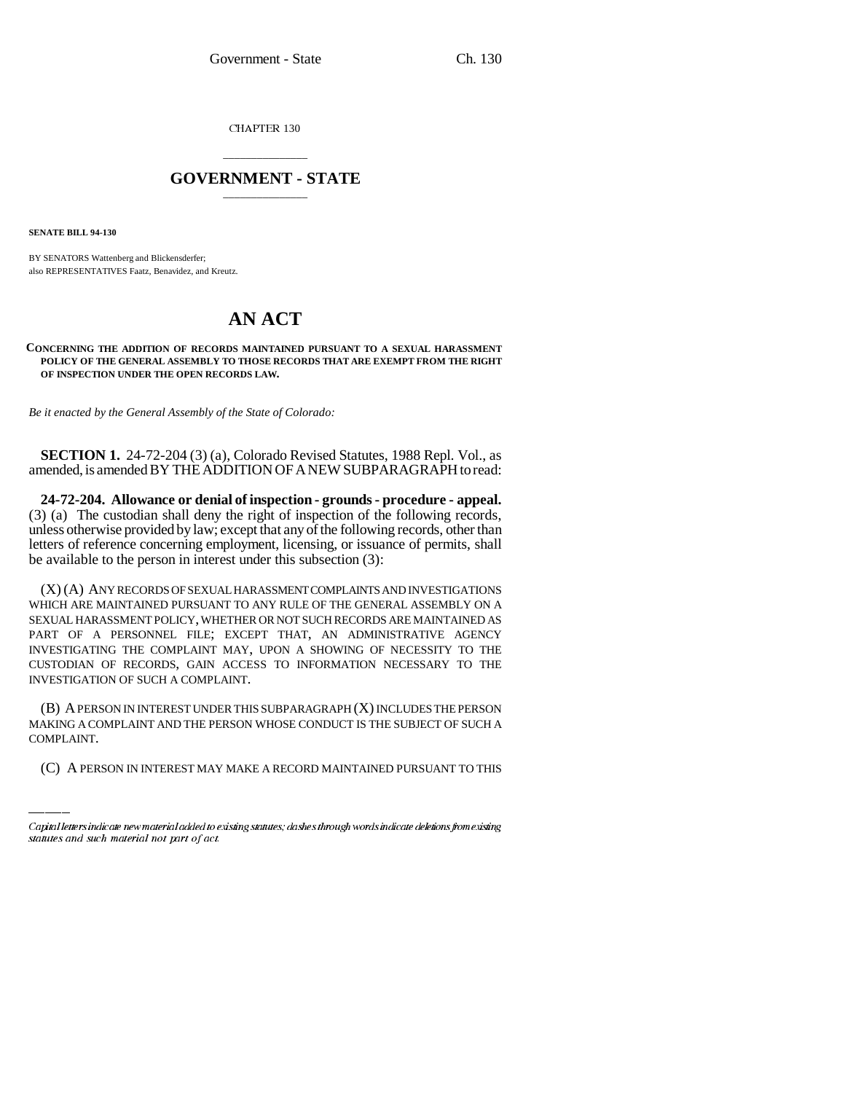CHAPTER 130

## \_\_\_\_\_\_\_\_\_\_\_\_\_\_\_ **GOVERNMENT - STATE** \_\_\_\_\_\_\_\_\_\_\_\_\_\_\_

**SENATE BILL 94-130**

BY SENATORS Wattenberg and Blickensderfer; also REPRESENTATIVES Faatz, Benavidez, and Kreutz.

## **AN ACT**

## **CONCERNING THE ADDITION OF RECORDS MAINTAINED PURSUANT TO A SEXUAL HARASSMENT POLICY OF THE GENERAL ASSEMBLY TO THOSE RECORDS THAT ARE EXEMPT FROM THE RIGHT OF INSPECTION UNDER THE OPEN RECORDS LAW.**

*Be it enacted by the General Assembly of the State of Colorado:*

**SECTION 1.** 24-72-204 (3) (a), Colorado Revised Statutes, 1988 Repl. Vol., as amended, is amended BY THE ADDITION OF A NEW SUBPARAGRAPH to read:

**24-72-204. Allowance or denial of inspection - grounds - procedure - appeal.** (3) (a) The custodian shall deny the right of inspection of the following records, unless otherwise provided by law; except that any of the following records, other than letters of reference concerning employment, licensing, or issuance of permits, shall be available to the person in interest under this subsection (3):

(X) (A) ANY RECORDS OF SEXUAL HARASSMENT COMPLAINTS AND INVESTIGATIONS WHICH ARE MAINTAINED PURSUANT TO ANY RULE OF THE GENERAL ASSEMBLY ON A SEXUAL HARASSMENT POLICY, WHETHER OR NOT SUCH RECORDS ARE MAINTAINED AS PART OF A PERSONNEL FILE; EXCEPT THAT, AN ADMINISTRATIVE AGENCY INVESTIGATING THE COMPLAINT MAY, UPON A SHOWING OF NECESSITY TO THE CUSTODIAN OF RECORDS, GAIN ACCESS TO INFORMATION NECESSARY TO THE INVESTIGATION OF SUCH A COMPLAINT.

(B) A PERSON IN INTEREST UNDER THIS SUBPARAGRAPH (X) INCLUDES THE PERSON MAKING A COMPLAINT AND THE PERSON WHOSE CONDUCT IS THE SUBJECT OF SUCH A COMPLAINT.

(C) A PERSON IN INTEREST MAY MAKE A RECORD MAINTAINED PURSUANT TO THIS

Capital letters indicate new material added to existing statutes; dashes through words indicate deletions from existing statutes and such material not part of act.